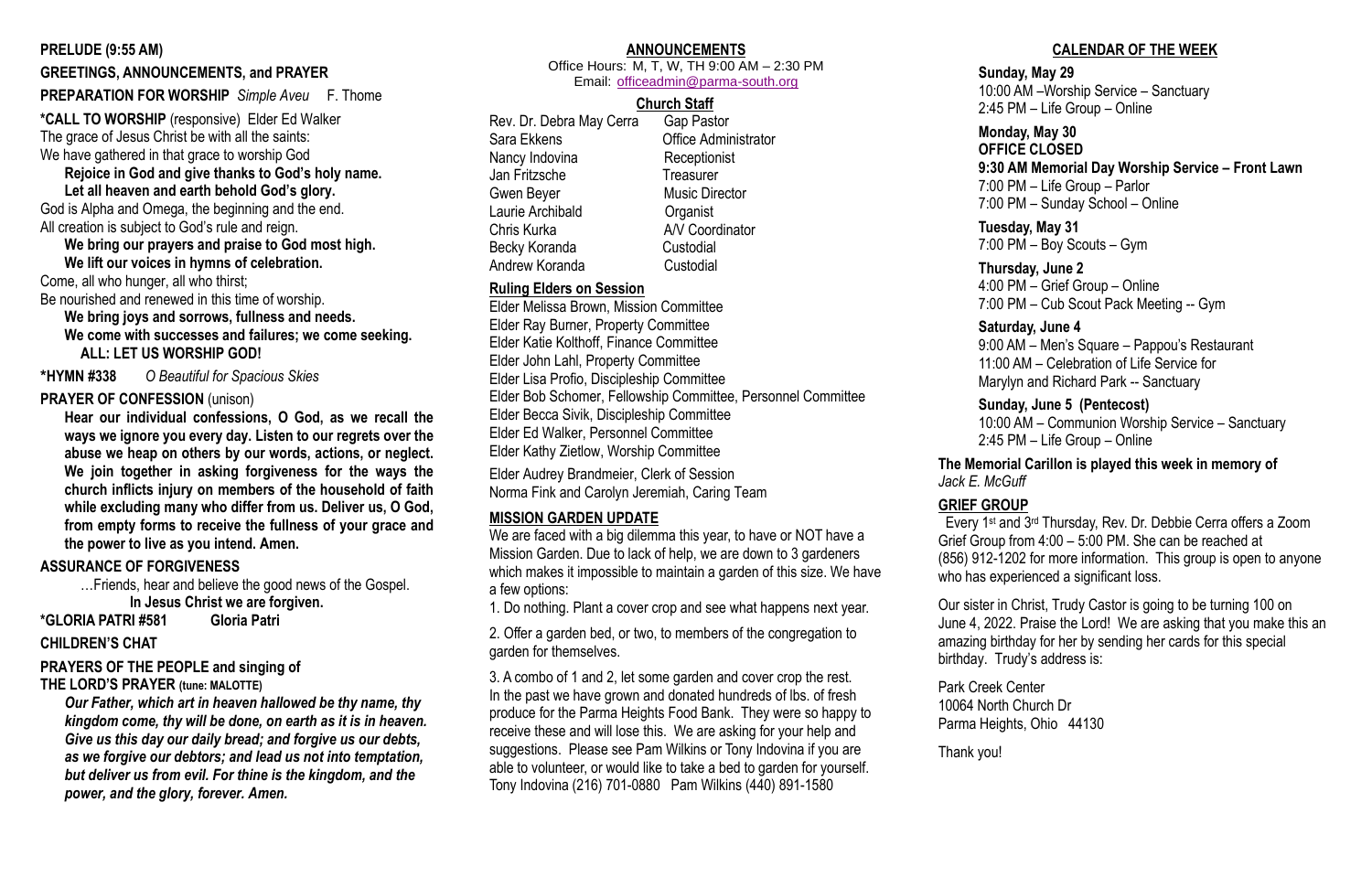#### **PRELUDE (9:55 AM)**

#### **GREETINGS, ANNOUNCEMENTS, and PRAYER**

#### **PREPARATION FOR WORSHIP** *Simple Aveu* F. Thome

**\*CALL TO WORSHIP** (responsive) Elder Ed Walker The grace of Jesus Christ be with all the saints: We have gathered in that grace to worship God

**Rejoice in God and give thanks to God's holy name. Let all heaven and earth behold God's glory.**

God is Alpha and Omega, the beginning and the end. All creation is subject to God's rule and reign.

# **We bring our prayers and praise to God most high.**

**We lift our voices in hymns of celebration.** Come, all who hunger, all who thirst;

Be nourished and renewed in this time of worship.

**We bring joys and sorrows, fullness and needs. We come with successes and failures; we come seeking. ALL: LET US WORSHIP GOD!**

**\*HYMN #338** *O Beautiful for Spacious Skies*

#### **PRAYER OF CONFESSION** (unison)

**Hear our individual confessions, O God, as we recall the ways we ignore you every day. Listen to our regrets over the abuse we heap on others by our words, actions, or neglect. We join together in asking forgiveness for the ways the church inflicts injury on members of the household of faith while excluding many who differ from us. Deliver us, O God, from empty forms to receive the fullness of your grace and the power to live as you intend. Amen.**

#### **ASSURANCE OF FORGIVENESS**

…Friends, hear and believe the good news of the Gospel. **In Jesus Christ we are forgiven.**

**\*GLORIA PATRI #581 Gloria Patri** 

#### **CHILDREN'S CHAT**

#### **PRAYERS OF THE PEOPLE and singing of**

#### **THE LORD'S PRAYER (tune: MALOTTE)**

*Our Father, which art in heaven hallowed be thy name, thy kingdom come, thy will be done, on earth as it is in heaven. Give us this day our daily bread; and forgive us our debts, as we forgive our debtors; and lead us not into temptation, but deliver us from evil. For thine is the kingdom, and the power, and the glory, forever. Amen.* 

# **ANNOUNCEMENTS**

10:00 AM – Communion Worship Service – Sanctuary PM – Life Group – Online

#### **The Memorial Carillon is played this week in memory of** *Jack E. McGuff*

| <br>Office Hours: M, T, W, TH 9:00 AM - 2:30 PM<br>Email: officeadmin@parma-south.org                                                                                                       |                                                                                                                                                                     | <b>Sund</b><br>10:00                                                                      |  |
|---------------------------------------------------------------------------------------------------------------------------------------------------------------------------------------------|---------------------------------------------------------------------------------------------------------------------------------------------------------------------|-------------------------------------------------------------------------------------------|--|
| Rev. Dr. Debra May Cerra<br>Sara Ekkens<br>Nancy Indovina<br>Jan Fritzsche<br><b>Gwen Beyer</b><br>Laurie Archibald<br>Chris Kurka                                                          | <b>Church Staff</b><br><b>Gap Pastor</b><br><b>Office Administrator</b><br>Receptionist<br><b>Treasurer</b><br><b>Music Director</b><br>Organist<br>A/V Coordinator | $2:45$ F<br><b>Monc</b><br><b>OFFI</b><br>9:30'<br>7:00F<br>7:00F<br><b>Tues</b><br>7:00F |  |
| Becky Koranda<br>Custodial<br>Andrew Koranda<br>Custodial<br><b>Ruling Elders on Session</b><br>Elder Melissa Brown, Mission Committee                                                      |                                                                                                                                                                     | <b>Thurs</b><br>4:00F<br>7:00F                                                            |  |
| Elder Ray Burner, Property Committee<br>Elder Katie Kolthoff, Finance Committee<br>Elder John Lahl, Property Committee<br>Elder Lisa Profio, Discipleship Committee                         |                                                                                                                                                                     | <b>Satur</b><br>9:00/<br>11:00<br>Maryl                                                   |  |
| Elder Bob Schomer, Fellowship Committee, Personnel Committee<br>Elder Becca Sivik, Discipleship Committee<br>Elder Ed Walker, Personnel Committee<br>Elder Kathy Zietlow, Worship Committee |                                                                                                                                                                     | <b>Sund</b><br>10:00<br>$2:45$ F                                                          |  |
| Elder Audrey Brandmeier, Clerk of Session<br>Norma Fink and Carolyn Jeremiah, Caring Team                                                                                                   |                                                                                                                                                                     | <b>The Memori</b><br>Jack E. McG                                                          |  |

#### **MISSION GARDEN UPDATE**

We are faced with a big dilemma this year, to have or NOT have a Mission Garden. Due to lack of help, we are down to 3 gardeners which makes it impossible to maintain a garden of this size. We have a few options:

1. Do nothing. Plant a cover crop and see what happens next year.

2. Offer a garden bed, or two, to members of the congregation to garden for themselves.

3. A combo of 1 and 2, let some garden and cover crop the rest. In the past we have grown and donated hundreds of lbs. of fresh produce for the Parma Heights Food Bank. They were so happy to receive these and will lose this. We are asking for your help and suggestions. Please see Pam Wilkins or Tony Indovina if you are able to volunteer, or would like to take a bed to garden for yourself. Tony Indovina (216) 701-0880 Pam Wilkins (440) 891-1580

## **CALENDAR OF THE WEEK**

#### **Sunday, May 29**

1 AM –Worship Service – Sanctuary PM – Life Group – Online

#### **Monday, May 30**

#### **CE CLOSED**

#### **9:30 AM Memorial Day Worship Service – Front Lawn**

PM – Life Group – Parlor

PM – Sunday School – Online

#### **Tuesday, May 31**

PM – Boy Scouts – Gym

#### **Thursday, June 2**

PM – Grief Group – Online PM – Cub Scout Pack Meeting -- Gym

#### rday, June 4

AM – Men's Square – Pappou's Restaurant AM – Celebration of Life Service for lyn and Richard Park -- Sanctuary

#### **Sunday, June 5 (Pentecost)**

**GRIEF GROUP**

 Every 1st and 3rd Thursday, Rev. Dr. Debbie Cerra offers a Zoom Grief Group from 4:00 – 5:00 PM. She can be reached at (856) 912-1202 for more information. This group is open to anyone who has experienced a significant loss.

Our sister in Christ, Trudy Castor is going to be turning 100 on June 4, 2022. Praise the Lord! We are asking that you make this an amazing birthday for her by sending her cards for this special birthday. Trudy's address is:

Park Creek Center 10064 North Church Dr Parma Heights, Ohio 44130

Thank you!